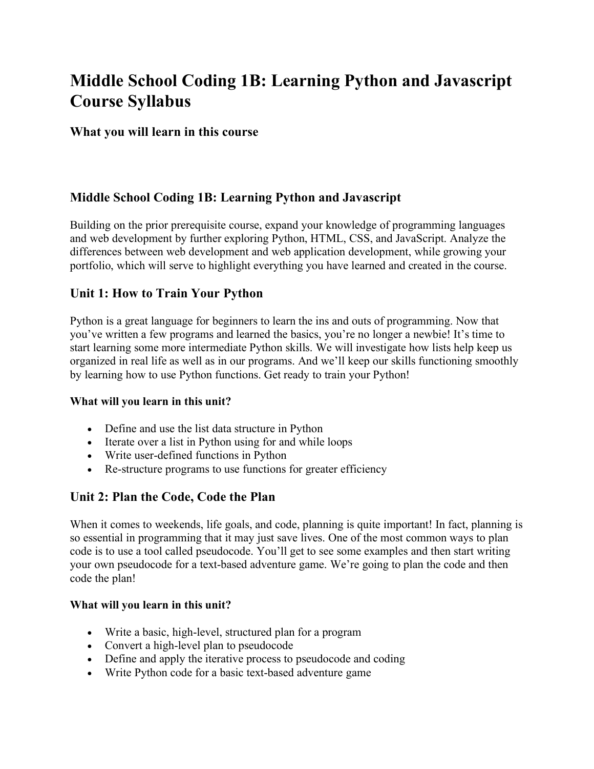# **Middle School Coding 1B: Learning Python and Javascript Course Syllabus**

#### **What you will learn in this course**

## **Middle School Coding 1B: Learning Python and Javascript**

Building on the prior prerequisite course, expand your knowledge of programming languages and web development by further exploring Python, HTML, CSS, and JavaScript. Analyze the differences between web development and web application development, while growing your portfolio, which will serve to highlight everything you have learned and created in the course.

#### **Unit 1: How to Train Your Python**

Python is a great language for beginners to learn the ins and outs of programming. Now that you've written a few programs and learned the basics, you're no longer a newbie! It's time to start learning some more intermediate Python skills. We will investigate how lists help keep us organized in real life as well as in our programs. And we'll keep our skills functioning smoothly by learning how to use Python functions. Get ready to train your Python!

#### **What will you learn in this unit?**

- Define and use the list data structure in Python
- Iterate over a list in Python using for and while loops
- Write user-defined functions in Python
- Re-structure programs to use functions for greater efficiency

#### **Unit 2: Plan the Code, Code the Plan**

When it comes to weekends, life goals, and code, planning is quite important! In fact, planning is so essential in programming that it may just save lives. One of the most common ways to plan code is to use a tool called pseudocode. You'll get to see some examples and then start writing your own pseudocode for a text-based adventure game. We're going to plan the code and then code the plan!

#### **What will you learn in this unit?**

- Write a basic, high-level, structured plan for a program
- Convert a high-level plan to pseudocode
- Define and apply the iterative process to pseudocode and coding
- Write Python code for a basic text-based adventure game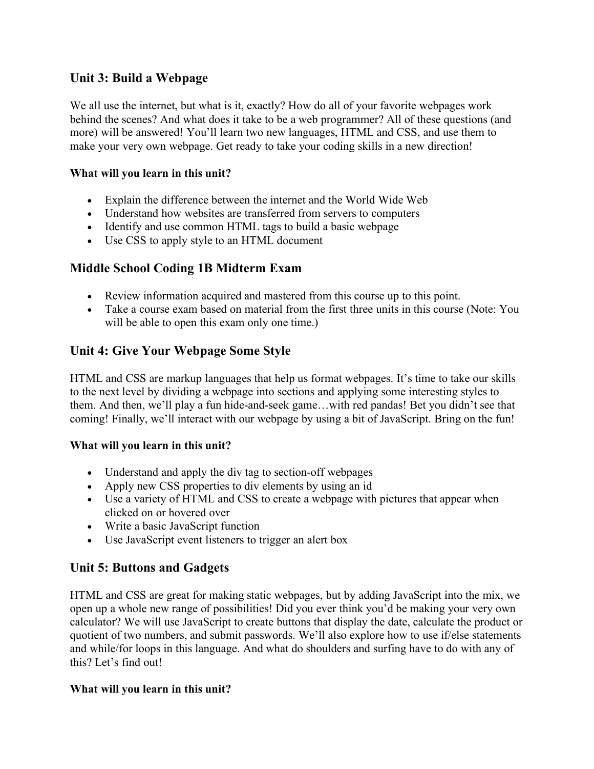## **Unit 3: Build a Webpage**

We all use the internet, but what is it, exactly? How do all of your favorite webpages work behind the scenes? And what does it take to be a web programmer? All of these questions (and more) will be answered! You'll learn two new languages, HTML and CSS, and use them to make your very own webpage. Get ready to take your coding skills in a new direction!

#### **What will you learn in this unit?**

- Explain the difference between the internet and the World Wide Web
- Understand how websites are transferred from servers to computers
- Identify and use common HTML tags to build a basic webpage
- Use CSS to apply style to an HTML document

## **Middle School Coding 1B Midterm Exam**

- Review information acquired and mastered from this course up to this point.
- Take a course exam based on material from the first three units in this course (Note: You will be able to open this exam only one time.)

## **Unit 4: Give Your Webpage Some Style**

HTML and CSS are markup languages that help us format webpages. It's time to take our skills to the next level by dividing a webpage into sections and applying some interesting styles to them. And then, we'll play a fun hide-and-seek game…with red pandas! Bet you didn't see that coming! Finally, we'll interact with our webpage by using a bit of JavaScript. Bring on the fun!

#### **What will you learn in this unit?**

- Understand and apply the div tag to section-off webpages
- Apply new CSS properties to div elements by using an id
- Use a variety of HTML and CSS to create a webpage with pictures that appear when clicked on or hovered over
- Write a basic JavaScript function
- Use JavaScript event listeners to trigger an alert box

# **Unit 5: Buttons and Gadgets**

HTML and CSS are great for making static webpages, but by adding JavaScript into the mix, we open up a whole new range of possibilities! Did you ever think you'd be making your very own calculator? We will use JavaScript to create buttons that display the date, calculate the product or quotient of two numbers, and submit passwords. We'll also explore how to use if/else statements and while/for loops in this language. And what do shoulders and surfing have to do with any of this? Let's find out!

#### **What will you learn in this unit?**